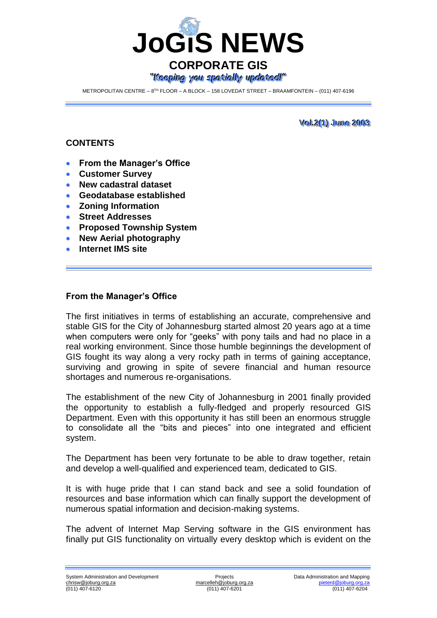

METROPOLITAN CENTRE – 8™ FLOOR – A BLOCK – 158 LOVEDAT STREET – BRAAMFONTEIN – (011) 407-6196

**<u>Vol.2(1)</u>** June 2003

### **CONTENTS**

- **From the Manager's Office**
- **Customer Survey**
- **New cadastral dataset**
- **Geodatabase established**
- **Zoning Information**
- **Street Addresses**
- **Proposed Township System**
- **New Aerial photography**
- **Internet IMS site**

#### **From the Manager's Office**

The first initiatives in terms of establishing an accurate, comprehensive and stable GIS for the City of Johannesburg started almost 20 years ago at a time when computers were only for "geeks" with pony tails and had no place in a real working environment. Since those humble beginnings the development of GIS fought its way along a very rocky path in terms of gaining acceptance, surviving and growing in spite of severe financial and human resource shortages and numerous re-organisations.

The establishment of the new City of Johannesburg in 2001 finally provided the opportunity to establish a fully-fledged and properly resourced GIS Department. Even with this opportunity it has still been an enormous struggle to consolidate all the "bits and pieces" into one integrated and efficient system.

The Department has been very fortunate to be able to draw together, retain and develop a well-qualified and experienced team, dedicated to GIS.

It is with huge pride that I can stand back and see a solid foundation of resources and base information which can finally support the development of numerous spatial information and decision-making systems.

The advent of Internet Map Serving software in the GIS environment has finally put GIS functionality on virtually every desktop which is evident on the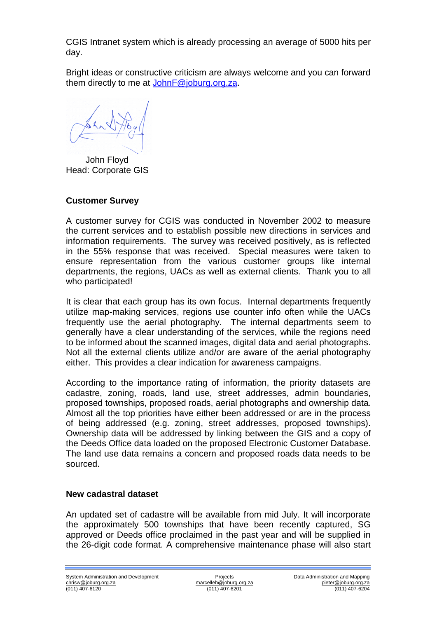CGIS Intranet system which is already processing an average of 5000 hits per day.

Bright ideas or constructive criticism are always welcome and you can forward them directly to me at [JohnF@joburg.org.za.](mailto:JohnF@joburg.org.za)

 John Floyd Head: Corporate GIS

## **Customer Survey**

A customer survey for CGIS was conducted in November 2002 to measure the current services and to establish possible new directions in services and information requirements. The survey was received positively, as is reflected in the 55% response that was received. Special measures were taken to ensure representation from the various customer groups like internal departments, the regions, UACs as well as external clients. Thank you to all who participated!

It is clear that each group has its own focus. Internal departments frequently utilize map-making services, regions use counter info often while the UACs frequently use the aerial photography. The internal departments seem to generally have a clear understanding of the services, while the regions need to be informed about the scanned images, digital data and aerial photographs. Not all the external clients utilize and/or are aware of the aerial photography either. This provides a clear indication for awareness campaigns.

According to the importance rating of information, the priority datasets are cadastre, zoning, roads, land use, street addresses, admin boundaries, proposed townships, proposed roads, aerial photographs and ownership data. Almost all the top priorities have either been addressed or are in the process of being addressed (e.g. zoning, street addresses, proposed townships). Ownership data will be addressed by linking between the GIS and a copy of the Deeds Office data loaded on the proposed Electronic Customer Database. The land use data remains a concern and proposed roads data needs to be sourced.

### **New cadastral dataset**

An updated set of cadastre will be available from mid July. It will incorporate the approximately 500 townships that have been recently captured, SG approved or Deeds office proclaimed in the past year and will be supplied in the 26-digit code format. A comprehensive maintenance phase will also start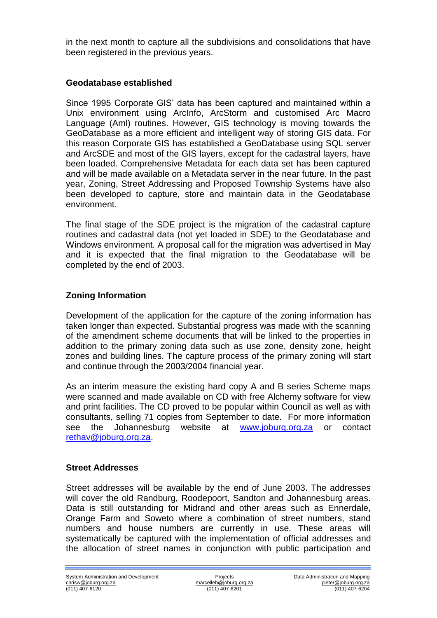in the next month to capture all the subdivisions and consolidations that have been registered in the previous years.

## **Geodatabase established**

Since 1995 Corporate GIS' data has been captured and maintained within a Unix environment using ArcInfo, ArcStorm and customised Arc Macro Language (Aml) routines. However, GIS technology is moving towards the GeoDatabase as a more efficient and intelligent way of storing GIS data. For this reason Corporate GIS has established a GeoDatabase using SQL server and ArcSDE and most of the GIS layers, except for the cadastral layers, have been loaded. Comprehensive Metadata for each data set has been captured and will be made available on a Metadata server in the near future. In the past year, Zoning, Street Addressing and Proposed Township Systems have also been developed to capture, store and maintain data in the Geodatabase environment.

The final stage of the SDE project is the migration of the cadastral capture routines and cadastral data (not yet loaded in SDE) to the Geodatabase and Windows environment. A proposal call for the migration was advertised in May and it is expected that the final migration to the Geodatabase will be completed by the end of 2003.

# **Zoning Information**

Development of the application for the capture of the zoning information has taken longer than expected. Substantial progress was made with the scanning of the amendment scheme documents that will be linked to the properties in addition to the primary zoning data such as use zone, density zone, height zones and building lines. The capture process of the primary zoning will start and continue through the 2003/2004 financial year.

As an interim measure the existing hard copy A and B series Scheme maps were scanned and made available on CD with free Alchemy software for view and print facilities. The CD proved to be popular within Council as well as with consultants, selling 71 copies from September to date. For more information see the Johannesburg website at [www.joburg.org.za](http://www.joburg.org.za/) or contact [rethav@joburg.org.za.](mailto:rethav@joburg.org.za)

### **Street Addresses**

Street addresses will be available by the end of June 2003. The addresses will cover the old Randburg, Roodepoort, Sandton and Johannesburg areas. Data is still outstanding for Midrand and other areas such as Ennerdale, Orange Farm and Soweto where a combination of street numbers, stand numbers and house numbers are currently in use. These areas will systematically be captured with the implementation of official addresses and the allocation of street names in conjunction with public participation and